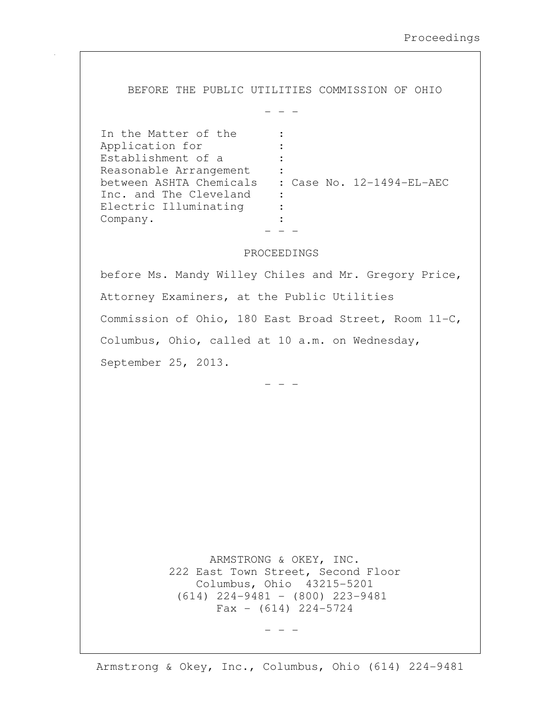BEFORE THE PUBLIC UTILITIES COMMISSION OF OHIO

 $-$ 

| In the Matter of the    |                           |
|-------------------------|---------------------------|
| Application for         |                           |
| Establishment of a      |                           |
| Reasonable Arrangement  |                           |
| between ASHTA Chemicals | : Case No. 12-1494-EL-AEC |
| Inc. and The Cleveland  |                           |
| Electric Illuminating   |                           |
| Company.                |                           |
|                         |                           |

## PROCEEDINGS

before Ms. Mandy Willey Chiles and Mr. Gregory Price, Attorney Examiners, at the Public Utilities Commission of Ohio, 180 East Broad Street, Room 11-C, Columbus, Ohio, called at 10 a.m. on Wednesday, September 25, 2013.

- - -

 ARMSTRONG & OKEY, INC. 222 East Town Street, Second Floor Columbus, Ohio 43215-5201 (614) 224-9481 - (800) 223-9481  $Fax - (614) 224 - 5724$ 

 $-$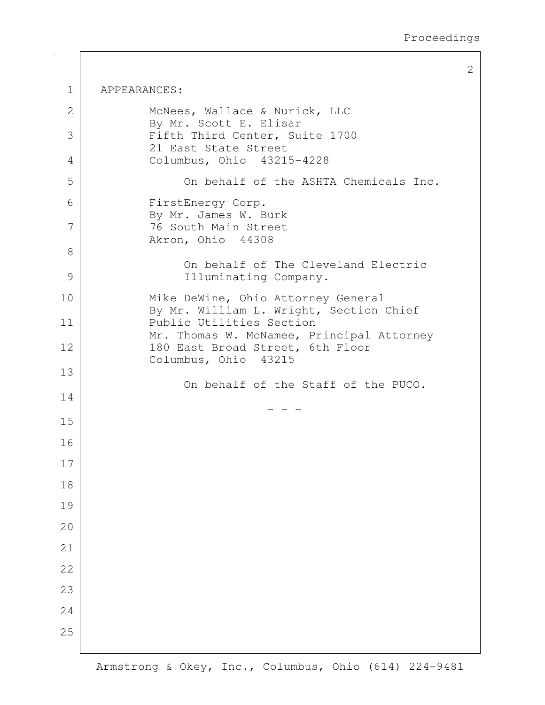2

| 1  | APPEARANCES:                                                                     |
|----|----------------------------------------------------------------------------------|
| 2  | McNees, Wallace & Nurick, LLC                                                    |
| 3  | By Mr. Scott E. Elisar<br>Fifth Third Center, Suite 1700<br>21 East State Street |
| 4  | Columbus, Ohio 43215-4228                                                        |
| 5  | On behalf of the ASHTA Chemicals Inc.                                            |
| 6  | FirstEnergy Corp.<br>By Mr. James W. Burk                                        |
| 7  | 76 South Main Street<br>Akron, Ohio 44308                                        |
| 8  | On behalf of The Cleveland Electric                                              |
| 9  | Illuminating Company.                                                            |
| 10 | Mike DeWine, Ohio Attorney General                                               |
| 11 | By Mr. William L. Wright, Section Chief<br>Public Utilities Section              |
| 12 | Mr. Thomas W. McNamee, Principal Attorney<br>180 East Broad Street, 6th Floor    |
| 13 | Columbus, Ohio 43215                                                             |
| 14 | On behalf of the Staff of the PUCO.                                              |
| 15 |                                                                                  |
| 16 |                                                                                  |
| 17 |                                                                                  |
| 18 |                                                                                  |
| 19 |                                                                                  |
| 20 |                                                                                  |
| 21 |                                                                                  |
| 22 |                                                                                  |
| 23 |                                                                                  |
| 24 |                                                                                  |
| 25 |                                                                                  |
|    |                                                                                  |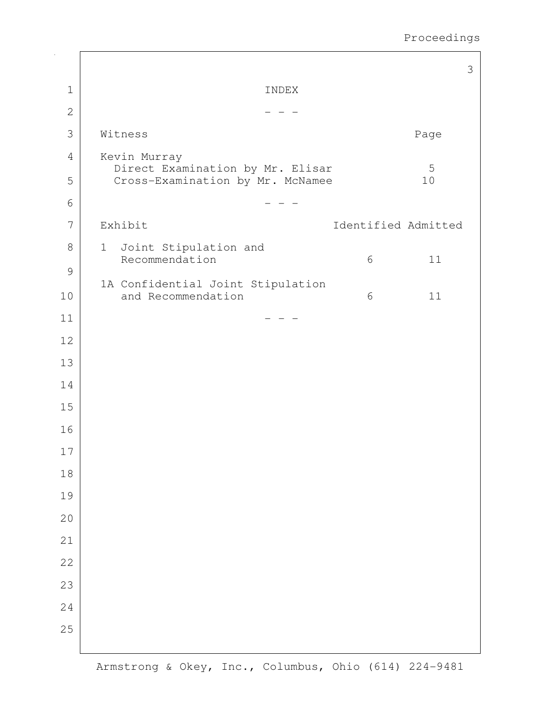|                |                                                                      | 3                   |
|----------------|----------------------------------------------------------------------|---------------------|
| $\mathbf 1$    | INDEX                                                                |                     |
| $\mathbf{2}$   |                                                                      |                     |
| 3              | Witness                                                              | Page                |
| $\overline{4}$ | Kevin Murray                                                         | 5                   |
| 5              | Direct Examination by Mr. Elisar<br>Cross-Examination by Mr. McNamee | 10                  |
| 6              |                                                                      |                     |
| 7              | Exhibit                                                              | Identified Admitted |
| $8\,$          | Joint Stipulation and<br>$\mathbf 1$<br>Recommendation               | 11<br>6             |
| $\mathcal{G}$  |                                                                      |                     |
| 10             | 1A Confidential Joint Stipulation<br>and Recommendation              | 6<br>11             |
| 11             |                                                                      |                     |
| 12             |                                                                      |                     |
| 13             |                                                                      |                     |
| 14             |                                                                      |                     |
| 15             |                                                                      |                     |
| 16             |                                                                      |                     |
| $17\,$         |                                                                      |                     |
| $18\,$         |                                                                      |                     |
| 19             |                                                                      |                     |
| 20             |                                                                      |                     |
| 21             |                                                                      |                     |
| 22             |                                                                      |                     |
| 23             |                                                                      |                     |
| 24             |                                                                      |                     |
| 25             |                                                                      |                     |
|                |                                                                      |                     |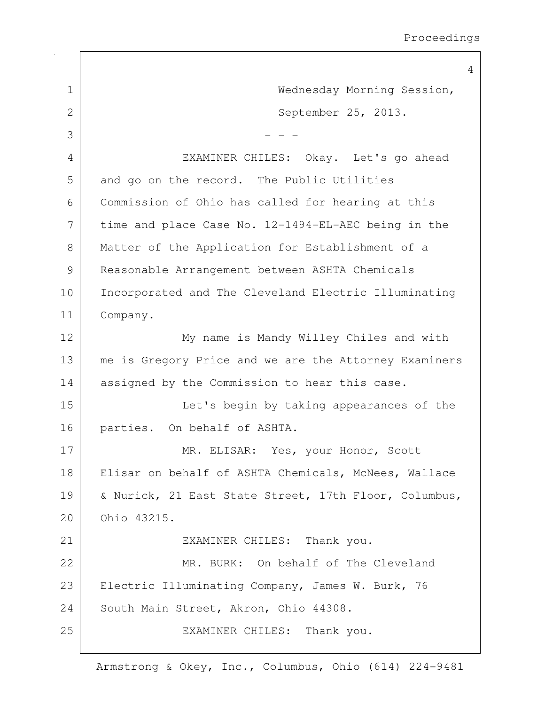4 1 Wednesday Morning Session, 2 September 25, 2013.  $3$   $-$  - -4 EXAMINER CHILES: Okay. Let's go ahead 5 and go on the record. The Public Utilities 6 Commission of Ohio has called for hearing at this 7 time and place Case No. 12-1494-EL-AEC being in the 8 | Matter of the Application for Establishment of a 9 Reasonable Arrangement between ASHTA Chemicals 10 | Incorporated and The Cleveland Electric Illuminating 11 Company. 12 | My name is Mandy Willey Chiles and with 13 | me is Gregory Price and we are the Attorney Examiners 14 assigned by the Commission to hear this case. 15 Let's begin by taking appearances of the 16 parties. On behalf of ASHTA. 17 MR. ELISAR: Yes, your Honor, Scott 18 | Elisar on behalf of ASHTA Chemicals, McNees, Wallace 19 | & Nurick, 21 East State Street, 17th Floor, Columbus, 20 Ohio 43215. 21 EXAMINER CHILES: Thank you. 22 MR. BURK: On behalf of The Cleveland 23 | Electric Illuminating Company, James W. Burk, 76 24 South Main Street, Akron, Ohio 44308. 25 | EXAMINER CHILES: Thank you.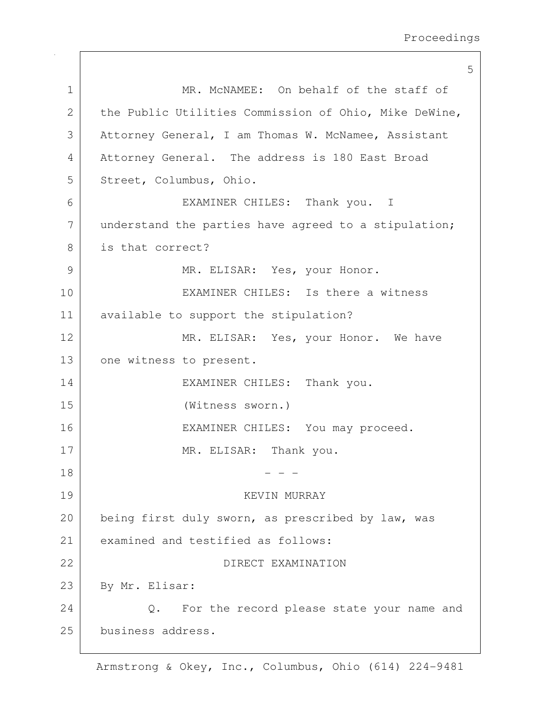|             | 5                                                      |
|-------------|--------------------------------------------------------|
| $\mathbf 1$ | MR. MCNAMEE: On behalf of the staff of                 |
| 2           | the Public Utilities Commission of Ohio, Mike DeWine,  |
| 3           | Attorney General, I am Thomas W. McNamee, Assistant    |
| 4           | Attorney General. The address is 180 East Broad        |
| 5           | Street, Columbus, Ohio.                                |
| 6           | EXAMINER CHILES: Thank you. I                          |
| 7           | understand the parties have agreed to a stipulation;   |
| 8           | is that correct?                                       |
| 9           | MR. ELISAR: Yes, your Honor.                           |
| 10          | EXAMINER CHILES: Is there a witness                    |
| 11          | available to support the stipulation?                  |
| 12          | MR. ELISAR: Yes, your Honor. We have                   |
| 13          | one witness to present.                                |
| 14          | EXAMINER CHILES: Thank you.                            |
| 15          | (Witness sworn.)                                       |
| 16          | EXAMINER CHILES: You may proceed.                      |
| 17          | MR. ELISAR: Thank you.                                 |
| 18          |                                                        |
| 19          | KEVIN MURRAY                                           |
| 20          | being first duly sworn, as prescribed by law, was      |
| 21          | examined and testified as follows:                     |
| 22          | DIRECT EXAMINATION                                     |
| 23          | By Mr. Elisar:                                         |
| 24          | For the record please state your name and<br>$\circ$ . |
| 25          | business address.                                      |
|             |                                                        |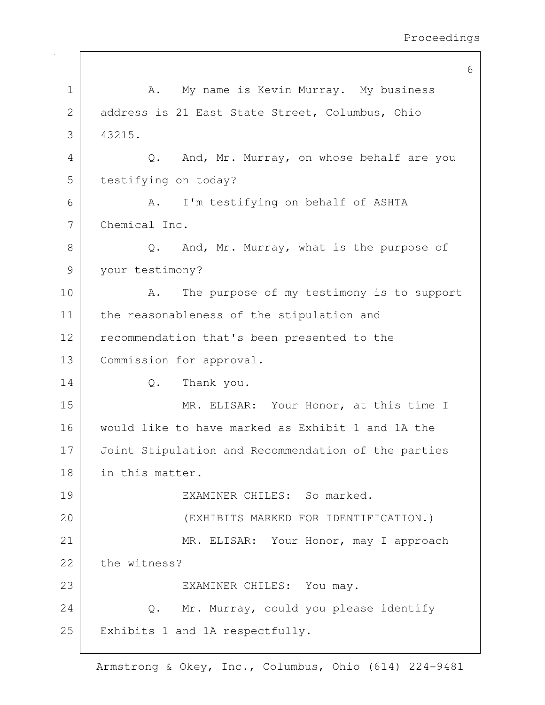|    | 6                                                        |
|----|----------------------------------------------------------|
| 1  | A. My name is Kevin Murray. My business                  |
| 2  | address is 21 East State Street, Columbus, Ohio          |
| 3  | 43215.                                                   |
| 4  | And, Mr. Murray, on whose behalf are you<br>Q.           |
| 5  | testifying on today?                                     |
| 6  | I'm testifying on behalf of ASHTA<br>Α.                  |
| 7  | Chemical Inc.                                            |
| 8  | And, Mr. Murray, what is the purpose of<br>$Q_{\bullet}$ |
| 9  | your testimony?                                          |
| 10 | The purpose of my testimony is to support<br>Α.          |
| 11 | the reasonableness of the stipulation and                |
| 12 | recommendation that's been presented to the              |
| 13 | Commission for approval.                                 |
| 14 | Q.<br>Thank you.                                         |
| 15 | MR. ELISAR: Your Honor, at this time I                   |
| 16 | would like to have marked as Exhibit 1 and 1A the        |
| 17 | Joint Stipulation and Recommendation of the parties      |
| 18 | in this matter.                                          |
| 19 | EXAMINER CHILES: So marked.                              |
| 20 | (EXHIBITS MARKED FOR IDENTIFICATION.)                    |
| 21 | MR. ELISAR: Your Honor, may I approach                   |
| 22 | the witness?                                             |
| 23 | EXAMINER CHILES: You may.                                |
| 24 | Q. Mr. Murray, could you please identify                 |
| 25 | Exhibits 1 and 1A respectfully.                          |
|    |                                                          |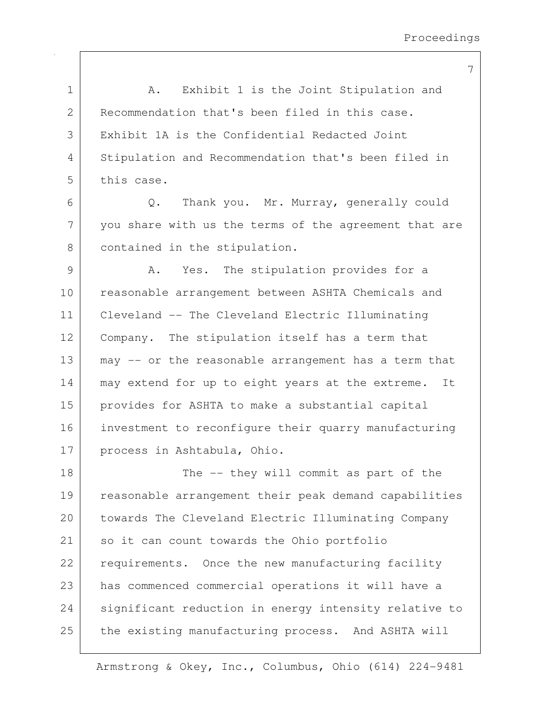| $\mathbf 1$ | Exhibit 1 is the Joint Stipulation and<br>A.          |
|-------------|-------------------------------------------------------|
| 2           | Recommendation that's been filed in this case.        |
| 3           | Exhibit 1A is the Confidential Redacted Joint         |
| 4           | Stipulation and Recommendation that's been filed in   |
| 5           | this case.                                            |
| 6           | Thank you. Mr. Murray, generally could<br>$Q$ .       |
| 7           | you share with us the terms of the agreement that are |
| 8           | contained in the stipulation.                         |
| 9           | Yes. The stipulation provides for a<br>Α.             |
| 10          | reasonable arrangement between ASHTA Chemicals and    |
| 11          | Cleveland -- The Cleveland Electric Illuminating      |
| 12          | Company. The stipulation itself has a term that       |
| 13          | may -- or the reasonable arrangement has a term that  |
| 14          | may extend for up to eight years at the extreme. It   |
| 15          | provides for ASHTA to make a substantial capital      |
| 16          | investment to reconfigure their quarry manufacturing  |
| 17          | process in Ashtabula, Ohio.                           |
| 18          | The -- they will commit as part of the                |
| 19          | reasonable arrangement their peak demand capabilities |
| 20          | towards The Cleveland Electric Illuminating Company   |
| 21          | so it can count towards the Ohio portfolio            |
| 22          | requirements. Once the new manufacturing facility     |
| 23          | has commenced commercial operations it will have a    |
| 24          | significant reduction in energy intensity relative to |
| 25          | the existing manufacturing process. And ASHTA will    |
|             |                                                       |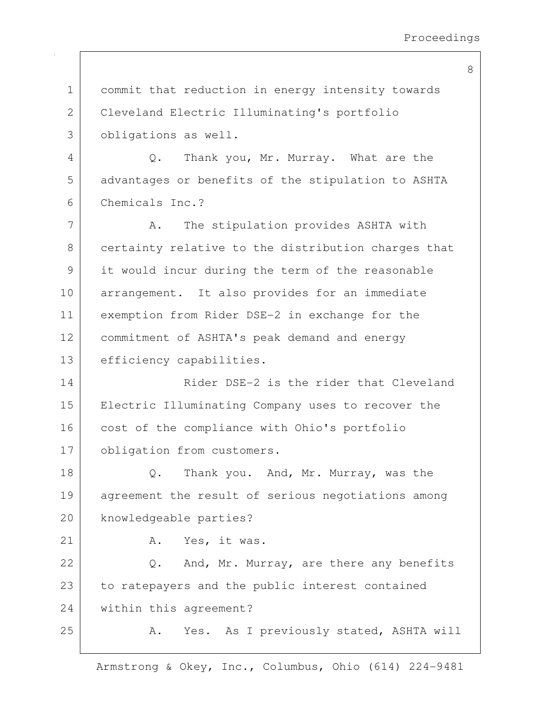1 commit that reduction in energy intensity towards 2 Cleveland Electric Illuminating's portfolio 3 obligations as well. 4 Q. Thank you, Mr. Murray. What are the 5 advantages or benefits of the stipulation to ASHTA 6 Chemicals Inc.? 7 | A. The stipulation provides ASHTA with 8 certainty relative to the distribution charges that 9 it would incur during the term of the reasonable 10 arrangement. It also provides for an immediate 11 exemption from Rider DSE-2 in exchange for the 12 commitment of ASHTA's peak demand and energy 13 efficiency capabilities. 14 Rider DSE-2 is the rider that Cleveland 15 Electric Illuminating Company uses to recover the 16 cost of the compliance with Ohio's portfolio 17 obligation from customers. 18 Q. Thank you. And, Mr. Murray, was the 19 agreement the result of serious negotiations among 20 knowledgeable parties? 21 A. Yes, it was. 22 Q. And, Mr. Murray, are there any benefits 23 to ratepayers and the public interest contained 24 within this agreement? 25 A. Yes. As I previously stated, ASHTA will

Armstrong & Okey, Inc., Columbus, Ohio (614) 224-9481

8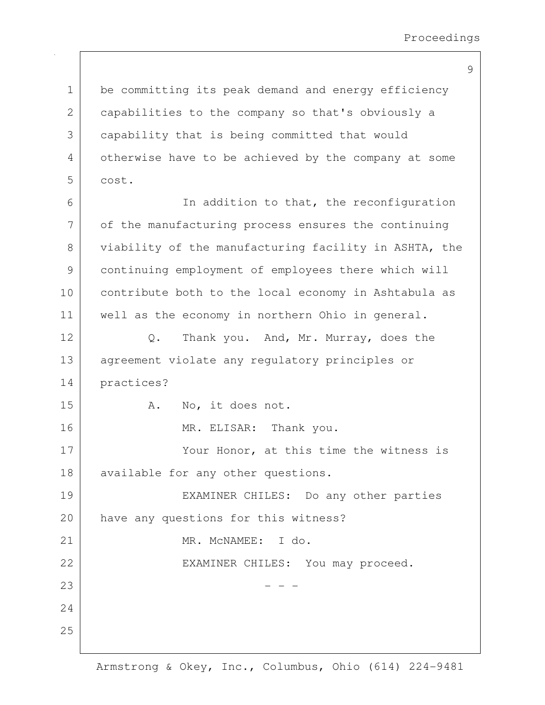1 be committing its peak demand and energy efficiency 2 capabilities to the company so that's obviously a 3 capability that is being committed that would 4 otherwise have to be achieved by the company at some 5 cost. 6 | The addition to that, the reconfiguration 7 of the manufacturing process ensures the continuing 8 viability of the manufacturing facility in ASHTA, the 9 continuing employment of employees there which will 10 contribute both to the local economy in Ashtabula as 11 | well as the economy in northern Ohio in general. 12 Q. Thank you. And, Mr. Murray, does the 13 | agreement violate any regulatory principles or 14 practices? 15 A. No, it does not. 16 MR. ELISAR: Thank you. 17 Your Honor, at this time the witness is 18 available for any other questions. 19 EXAMINER CHILES: Do any other parties 20 have any questions for this witness? 21 MR. McNAMEE: I do. 22 | EXAMINER CHILES: You may proceed.  $23$   $-$  -  $-$ 24 25

9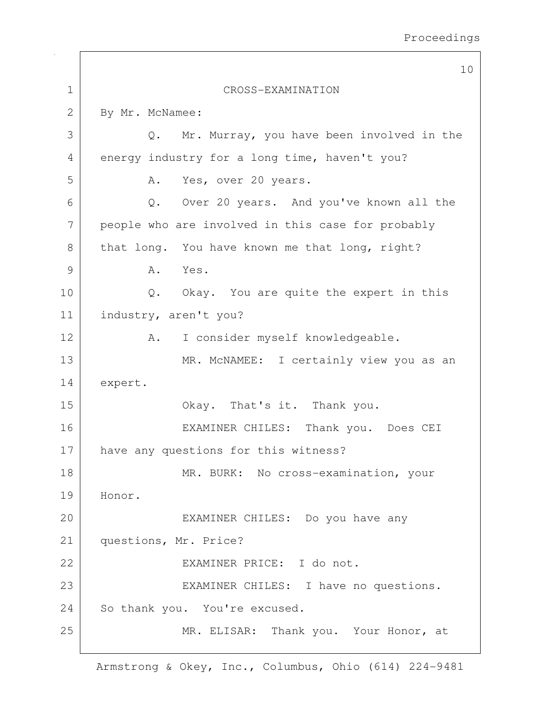|               | 10                                                     |
|---------------|--------------------------------------------------------|
| $\mathbf 1$   | CROSS-EXAMINATION                                      |
| $\mathbf{2}$  | By Mr. McNamee:                                        |
| 3             | Mr. Murray, you have been involved in the<br>$\circ$ . |
| 4             | energy industry for a long time, haven't you?          |
| 5             | A. Yes, over 20 years.                                 |
| 6             | Q. Over 20 years. And you've known all the             |
| 7             | people who are involved in this case for probably      |
| 8             | that long. You have known me that long, right?         |
| $\mathcal{G}$ | Yes.<br>A.                                             |
| 10            | Okay. You are quite the expert in this<br>$Q$ .        |
| 11            | industry, aren't you?                                  |
| 12            | I consider myself knowledgeable.<br>A.                 |
| 13            | MR. MCNAMEE: I certainly view you as an                |
| 14            | expert.                                                |
| 15            | Okay. That's it. Thank you.                            |
| 16            | EXAMINER CHILES: Thank you. Does CEI                   |
| 17            | have any questions for this witness?                   |
| 18            | MR. BURK: No cross-examination, your                   |
| 19            | Honor.                                                 |
| 20            | EXAMINER CHILES: Do you have any                       |
| 21            | questions, Mr. Price?                                  |
| 22            | EXAMINER PRICE: I do not.                              |
| 23            | EXAMINER CHILES: I have no questions.                  |
| 24            | So thank you. You're excused.                          |
| 25            | MR. ELISAR: Thank you. Your Honor, at                  |
|               |                                                        |

 $\overline{\phantom{a}}$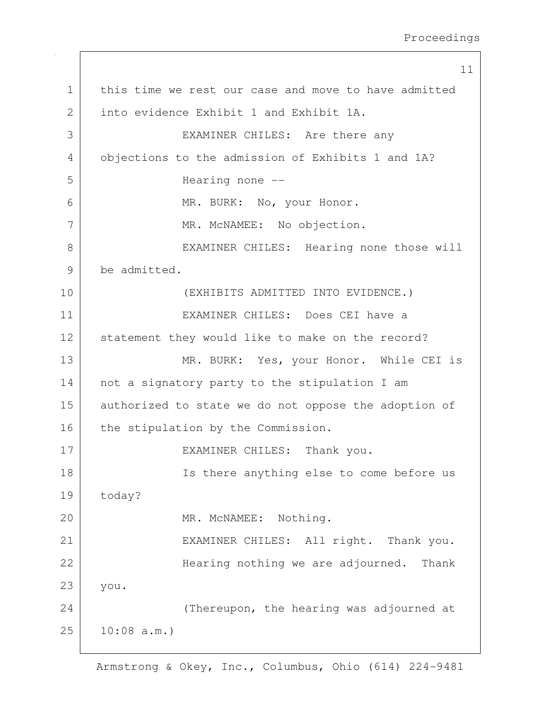11 1 this time we rest our case and move to have admitted 2 into evidence Exhibit 1 and Exhibit 1A. 3 | EXAMINER CHILES: Are there any 4 objections to the admission of Exhibits 1 and 1A? 5 | Hearing none --6 MR. BURK: No, your Honor. 7 | MR. McNAMEE: No objection. 8 | EXAMINER CHILES: Hearing none those will 9 be admitted. 10 (EXHIBITS ADMITTED INTO EVIDENCE.) 11 EXAMINER CHILES: Does CEI have a 12 statement they would like to make on the record? 13 MR. BURK: Yes, your Honor. While CEI is 14 not a signatory party to the stipulation I am 15 authorized to state we do not oppose the adoption of 16 the stipulation by the Commission. 17 | EXAMINER CHILES: Thank you. 18 | Ts there anything else to come before us 19 today? 20 MR. McNAMEE: Nothing. 21 | EXAMINER CHILES: All right. Thank you. 22 | Kearing nothing we are adjourned. Thank 23 you. 24 (Thereupon, the hearing was adjourned at 25 10:08 a.m.)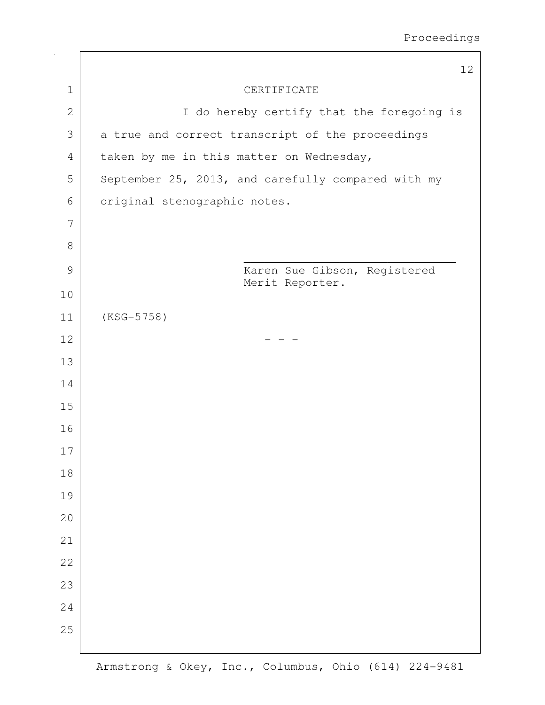|                | 12                                                 |
|----------------|----------------------------------------------------|
| $\mathbf 1$    | CERTIFICATE                                        |
| $\mathbf{2}$   | I do hereby certify that the foregoing is          |
| 3              | a true and correct transcript of the proceedings   |
| $\overline{4}$ | taken by me in this matter on Wednesday,           |
| 5              | September 25, 2013, and carefully compared with my |
| 6              | original stenographic notes.                       |
| 7              |                                                    |
| 8              |                                                    |
| $\mathcal{G}$  | Karen Sue Gibson, Registered                       |
| 10             | Merit Reporter.                                    |
| 11             | $(KSG-5758)$                                       |
| 12             |                                                    |
| 13             |                                                    |
| 14             |                                                    |
| 15             |                                                    |
| 16             |                                                    |
| 17             |                                                    |
| 18             |                                                    |
| 19             |                                                    |
| 20             |                                                    |
| 21             |                                                    |
| 22             |                                                    |
| 23             |                                                    |
| 24             |                                                    |
| 25             |                                                    |
|                |                                                    |

 $\sqrt{2}$